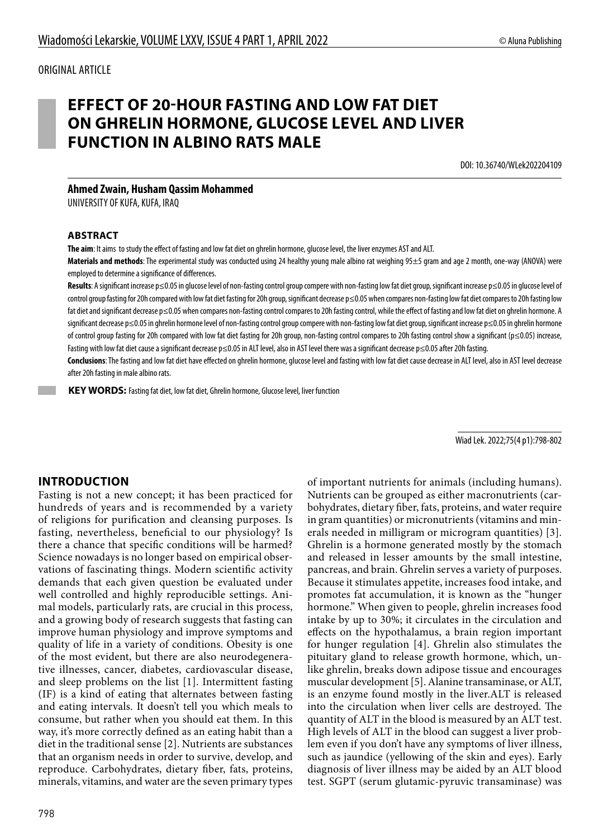#### ORIGINAL ARTICLE

# **EFFECT OF 20-HOUR FASTING AND LOW FAT DIET ON GHRELIN HORMONE, GLUCOSE LEVEL AND LIVER FUNCTION IN ALBINO RATS MALE**

DOI: 10.36740/WLek202204109

#### **Ahmed Zwain, Husham Qassim Mohammed**

UNIVERSITY OF KUFA, KUFA, IRAQ

#### **ABSTRACT**

**The aim**: It aims to study the effect of fasting and low fat diet on ghrelin hormone, glucose level, the liver enzymes AST and ALT.

**Materials and methods**: The experimental study was conducted using 24 healthy young male albino rat weighing 95±5 gram and age 2 month, one-way (ANOVA) were employed to determine a significance of differences.

Results: A significant increase p≤0.05 in glucose level of non-fasting control group compere with non-fasting low fat diet group, significant increase p≤0.05 in glucose level of control group fasting for 20h compared with low fat diet fasting for 20h group, significant decrease p≤0.05 when compares non-fasting low fat diet compares to 20h fasting low fat diet and significant decrease p≤0.05 when compares non-fasting control compares to 20h fasting control, while the effect of fasting and low fat diet on ghrelin hormone. A significant decrease p≤0.05 in ghrelin hormone level of non-fasting control group compere with non-fasting low fat diet group, significant increase p≤0.05 in ghrelin hormone of control group fasting for 20h compared with low fat diet fasting for 20h group, non-fasting control compares to 20h fasting control show a significant (p≤0.05) increase, Fasting with low fat diet cause a significant decrease p≤0.05 in ALT level, also in AST level there was a significant decrease p≤0.05 after 20h fasting.

**Conclusions**: The fasting and low fat diet have effected on ghrelin hormone, glucose level and fasting with low fat diet cause decrease in ALT level, also in AST level decrease after 20h fasting in male albino rats.

 **KEY WORDS:** Fasting fat diet, low fat diet, Ghrelin hormone, Glucose level, liver function

Wiad Lek. 2022;75(4 p1):798-802

### **INTRODUCTION**

Fasting is not a new concept; it has been practiced for hundreds of years and is recommended by a variety of religions for purification and cleansing purposes. Is fasting, nevertheless, beneficial to our physiology? Is there a chance that specific conditions will be harmed? Science nowadays is no longer based on empirical observations of fascinating things. Modern scientific activity demands that each given question be evaluated under well controlled and highly reproducible settings. Animal models, particularly rats, are crucial in this process, and a growing body of research suggests that fasting can improve human physiology and improve symptoms and quality of life in a variety of conditions. Obesity is one of the most evident, but there are also neurodegenerative illnesses, cancer, diabetes, cardiovascular disease, and sleep problems on the list [1]. Intermittent fasting (IF) is a kind of eating that alternates between fasting and eating intervals. It doesn't tell you which meals to consume, but rather when you should eat them. In this way, it's more correctly defined as an eating habit than a diet in the traditional sense [2]. Nutrients are substances that an organism needs in order to survive, develop, and reproduce. Carbohydrates, dietary fiber, fats, proteins, minerals, vitamins, and water are the seven primary types

of important nutrients for animals (including humans). Nutrients can be grouped as either macronutrients (carbohydrates, dietary fiber, fats, proteins, and water require in gram quantities) or micronutrients (vitamins and minerals needed in milligram or microgram quantities) [3]. Ghrelin is a hormone generated mostly by the stomach and released in lesser amounts by the small intestine, pancreas, and brain. Ghrelin serves a variety of purposes. Because it stimulates appetite, increases food intake, and promotes fat accumulation, it is known as the "hunger hormone." When given to people, ghrelin increases food intake by up to 30%; it circulates in the circulation and effects on the hypothalamus, a brain region important for hunger regulation [4]. Ghrelin also stimulates the pituitary gland to release growth hormone, which, unlike ghrelin, breaks down adipose tissue and encourages muscular development [5]. Alanine transaminase, or ALT, is an enzyme found mostly in the liver.ALT is released into the circulation when liver cells are destroyed. The quantity of ALT in the blood is measured by an ALT test. High levels of ALT in the blood can suggest a liver problem even if you don't have any symptoms of liver illness, such as jaundice (yellowing of the skin and eyes). Early diagnosis of liver illness may be aided by an ALT blood test. SGPT (serum glutamic-pyruvic transaminase) was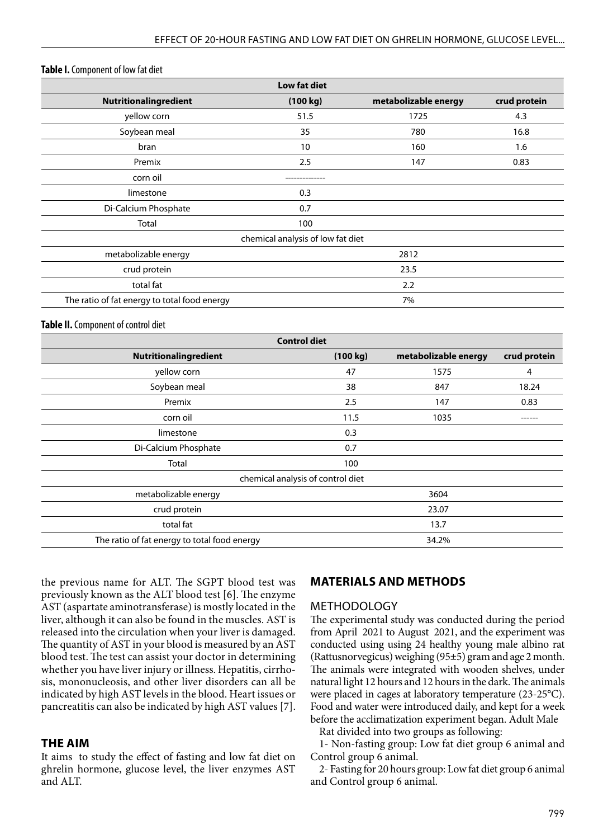#### **Table I.** Component of low fat diet

| <b>Low fat diet</b>                          |                                   |                      |              |
|----------------------------------------------|-----------------------------------|----------------------|--------------|
| Nutritionalingredient                        | (100 kg)                          | metabolizable energy | crud protein |
| yellow corn                                  | 51.5                              | 1725                 | 4.3          |
| Soybean meal                                 | 35                                | 780                  | 16.8         |
| bran                                         | 10                                | 160                  | 1.6          |
| Premix                                       | 2.5                               | 147                  | 0.83         |
| corn oil                                     |                                   |                      |              |
| limestone                                    | 0.3                               |                      |              |
| Di-Calcium Phosphate                         | 0.7                               |                      |              |
| <b>Total</b>                                 | 100                               |                      |              |
|                                              | chemical analysis of low fat diet |                      |              |
| metabolizable energy                         |                                   | 2812                 |              |
| crud protein                                 | 23.5                              |                      |              |
| total fat                                    |                                   | 2.2                  |              |
| The ratio of fat energy to total food energy |                                   | 7%                   |              |

#### **Table II.** Component of control diet

| <b>Control diet</b>                          |          |                      |              |  |
|----------------------------------------------|----------|----------------------|--------------|--|
| Nutritionalingredient                        | (100 kg) | metabolizable energy | crud protein |  |
| yellow corn                                  | 47       | 1575                 | 4            |  |
| Soybean meal                                 | 38       | 847                  | 18.24        |  |
| Premix                                       | 2.5      | 147                  | 0.83         |  |
| corn oil                                     | 11.5     | 1035                 | ------       |  |
| limestone                                    | 0.3      |                      |              |  |
| Di-Calcium Phosphate                         | 0.7      |                      |              |  |
| Total                                        | 100      |                      |              |  |
| chemical analysis of control diet            |          |                      |              |  |
| metabolizable energy                         |          | 3604                 |              |  |
| crud protein                                 |          | 23.07                |              |  |
| total fat                                    |          | 13.7                 |              |  |
| The ratio of fat energy to total food energy |          | 34.2%                |              |  |

the previous name for ALT. The SGPT blood test was previously known as the ALT blood test [6]. The enzyme AST (aspartate aminotransferase) is mostly located in the liver, although it can also be found in the muscles. AST is released into the circulation when your liver is damaged. The quantity of AST in your blood is measured by an AST blood test. The test can assist your doctor in determining whether you have liver injury or illness. Hepatitis, cirrhosis, mononucleosis, and other liver disorders can all be indicated by high AST levels in the blood. Heart issues or pancreatitis can also be indicated by high AST values [7].

#### **THE AIM**

It aims to study the effect of fasting and low fat diet on ghrelin hormone, glucose level, the liver enzymes AST and ALT.

### **MATERIALS AND METHODS**

#### **METHODOLOGY**

The experimental study was conducted during the period from April 2021 to August 2021, and the experiment was conducted using using 24 healthy young male albino rat (Rattusnorvegicus) weighing (95±5) gram and age 2 month. The animals were integrated with wooden shelves, under natural light 12 hours and 12 hours in the dark. The animals were placed in cages at laboratory temperature (23-25°C). Food and water were introduced daily, and kept for a week before the acclimatization experiment began. Adult Male

Rat divided into two groups as following:

1- Non-fasting group: Low fat diet group 6 animal and Control group 6 animal.

2- Fasting for 20 hours group: Low fat diet group 6 animal and Control group 6 animal.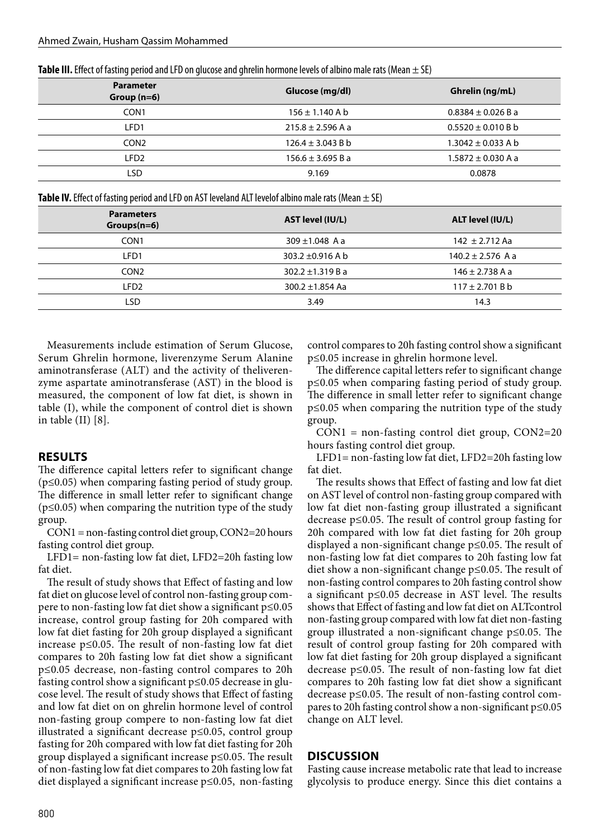| <b>Table III.</b> Effect of fasting period and LFD on glucose and ghrelin hormone levels of albino male rats (Mean $\pm$ SE) |  |  |  |
|------------------------------------------------------------------------------------------------------------------------------|--|--|--|
|------------------------------------------------------------------------------------------------------------------------------|--|--|--|

| <b>Parameter</b><br>Group $(n=6)$ | Glucose (mg/dl)       | Ghrelin (ng/mL)        |
|-----------------------------------|-----------------------|------------------------|
| CON <sub>1</sub>                  | $156 \pm 1.140$ A b   | $0.8384 \pm 0.026$ B a |
| LFD1                              | $215.8 \pm 2.596$ A a | $0.5520 \pm 0.010 B b$ |
| CON <sub>2</sub>                  | $126.4 \pm 3.043$ B b | $1.3042 \pm 0.033$ A b |
| LFD2                              | $156.6 \pm 3.695 B a$ | $1.5872 \pm 0.030$ A a |
| LSD                               | 9.169                 | 0.0878                 |

**Table IV.** Effect of fasting period and LFD on AST leveland ALT levelof albino male rats (Mean ± SE)

| <b>Parameters</b><br>$Groups(n=6)$ | AST level (IU/L)      | ALT level (IU/L)      |
|------------------------------------|-----------------------|-----------------------|
| CON <sub>1</sub>                   | $309 \pm 1.048$ A a   | 142 $\pm$ 2.712 Aa    |
| LFD1                               | 303.2 $\pm$ 0.916 A b | $140.2 \pm 2.576$ A a |
| CON <sub>2</sub>                   | $302.2 \pm 1.319 Ba$  | $146 \pm 2.738$ A a   |
| LFD <sub>2</sub>                   | 300.2 $\pm$ 1.854 Aa  | $117 \pm 2.701$ B b   |
| LSD                                | 3.49                  | 14.3                  |

Measurements include estimation of Serum Glucose, Serum Ghrelin hormone, liverenzyme Serum Alanine aminotransferase (ALT) and the activity of theliverenzyme aspartate aminotransferase (AST) in the blood is measured, the component of low fat diet, is shown in table (I), while the component of control diet is shown in table (II) [8].

### **RESULTS**

The difference capital letters refer to significant change (p≤0.05) when comparing fasting period of study group. The difference in small letter refer to significant change  $(p \le 0.05)$  when comparing the nutrition type of the study group.

 $CON1 = non-fasting control diet group, CON2=20 hours$ fasting control diet group.

LFD1= non-fasting low fat diet, LFD2=20h fasting low fat diet.

The result of study shows that Effect of fasting and low fat diet on glucose level of control non-fasting group compere to non-fasting low fat diet show a significant p≤0.05 increase, control group fasting for 20h compared with low fat diet fasting for 20h group displayed a significant increase p≤0.05. The result of non-fasting low fat diet compares to 20h fasting low fat diet show a significant p≤0.05 decrease, non-fasting control compares to 20h fasting control show a significant p≤0.05 decrease in glucose level. The result of study shows that Effect of fasting and low fat diet on on ghrelin hormone level of control non-fasting group compere to non-fasting low fat diet illustrated a significant decrease p≤0.05, control group fasting for 20h compared with low fat diet fasting for 20h group displayed a significant increase p≤0.05. The result of non-fasting low fat diet compares to 20h fasting low fat diet displayed a significant increase p≤0.05, non-fasting control compares to 20h fasting control show a significant p≤0.05 increase in ghrelin hormone level.

The difference capital letters refer to significant change p≤0.05 when comparing fasting period of study group. The difference in small letter refer to significant change p≤0.05 when comparing the nutrition type of the study group.

CON1 = non-fasting control diet group, CON2=20 hours fasting control diet group.

LFD1= non-fasting low fat diet, LFD2=20h fasting low fat diet.

The results shows that Effect of fasting and low fat diet on AST level of control non-fasting group compared with low fat diet non-fasting group illustrated a significant decrease p≤0.05. The result of control group fasting for 20h compared with low fat diet fasting for 20h group displayed a non-significant change p≤0.05. The result of non-fasting low fat diet compares to 20h fasting low fat diet show a non-significant change p≤0.05. The result of non-fasting control compares to 20h fasting control show a significant p≤0.05 decrease in AST level. The results shows that Effect of fasting and low fat diet on ALTcontrol non-fasting group compared with low fat diet non-fasting group illustrated a non-significant change p≤0.05. The result of control group fasting for 20h compared with low fat diet fasting for 20h group displayed a significant decrease p≤0.05. The result of non-fasting low fat diet compares to 20h fasting low fat diet show a significant decrease p≤0.05. The result of non-fasting control compares to 20h fasting control show a non-significant p≤0.05 change on ALT level.

### **DISCUSSION**

Fasting cause increase metabolic rate that lead to increase glycolysis to produce energy. Since this diet contains a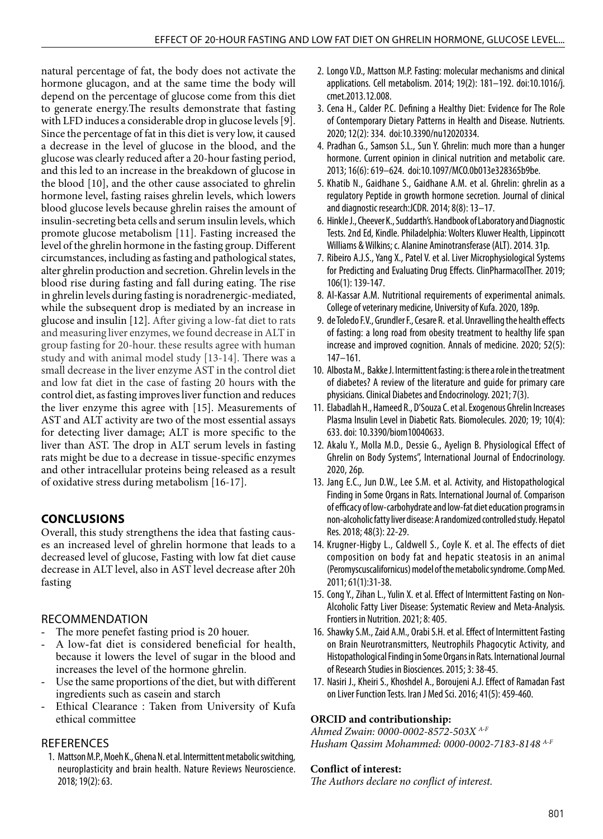natural percentage of fat, the body does not activate the hormone glucagon, and at the same time the body will depend on the percentage of glucose come from this diet to generate energy.The results demonstrate that fasting with LFD induces a considerable drop in glucose levels [9]. Since the percentage of fat in this diet is very low, it caused a decrease in the level of glucose in the blood, and the glucose was clearly reduced after a 20-hour fasting period, and this led to an increase in the breakdown of glucose in the blood [10], and the other cause associated to ghrelin hormone level, fasting raises ghrelin levels, which lowers blood glucose levels because ghrelin raises the amount of insulin-secreting beta cells and serum insulin levels, which promote glucose metabolism [11]. Fasting increased the level of the ghrelin hormone in the fasting group. Different circumstances, including as fasting and pathological states, alter ghrelin production and secretion. Ghrelin levels in the blood rise during fasting and fall during eating. The rise in ghrelin levels during fasting is noradrenergic-mediated, while the subsequent drop is mediated by an increase in glucose and insulin [12]. After giving a low-fat diet to rats and measuring liver enzymes, we found decrease in ALT in group fasting for 20-hour. these results agree with human study and with animal model study [13-14]. There was a small decrease in the liver enzyme AST in the control diet and low fat diet in the case of fasting 20 hours with the control diet, as fasting improves liver function and reduces the liver enzyme this agree with [15]. Measurements of AST and ALT activity are two of the most essential assays for detecting liver damage; ALT is more specific to the liver than AST. The drop in ALT serum levels in fasting rats might be due to a decrease in tissue-specific enzymes and other intracellular proteins being released as a result of oxidative stress during metabolism [16-17].

# **CONCLUSIONS**

Overall, this study strengthens the idea that fasting causes an increased level of ghrelin hormone that leads to a decreased level of glucose, Fasting with low fat diet cause decrease in ALT level, also in AST level decrease after 20h fasting

# RECOMMENDATION

- The more penefet fasting priod is 20 houer.
- A low-fat diet is considered beneficial for health, because it lowers the level of sugar in the blood and increases the level of the hormone ghrelin.
- Use the same proportions of the diet, but with different ingredients such as casein and starch
- Ethical Clearance : Taken from University of Kufa ethical committee

### **REFERENCES**

1. Mattson M.P., Moeh K., Ghena N. et al. Intermittent metabolic switching, neuroplasticity and brain health. Nature Reviews Neuroscience. 2018; 19(2): 63.

- 2. Longo V.D., Mattson M.P. Fasting: molecular mechanisms and clinical applications. Cell metabolism. 2014; 19(2): 181–192. doi:10.1016/j. cmet.2013.12.008.
- 3. Cena H., Calder P.C. Defining a Healthy Diet: Evidence for The Role of Contemporary Dietary Patterns in Health and Disease. Nutrients. 2020; 12(2): 334. doi:10.3390/nu12020334.
- 4. Pradhan G., Samson S.L., Sun Y. Ghrelin: much more than a hunger hormone. Current opinion in clinical nutrition and metabolic care. 2013; 16(6): 619–624. doi:10.1097/MCO.0b013e328365b9be.
- 5. Khatib N., Gaidhane S., Gaidhane A.M. et al. Ghrelin: ghrelin as a regulatory Peptide in growth hormone secretion. Journal of clinical and diagnostic research:JCDR. 2014; 8(8): 13–17.
- 6. Hinkle J., Cheever K., Suddarth's. Handbook of Laboratory and Diagnostic Tests. 2nd Ed, Kindle. Philadelphia: Wolters Kluwer Health, Lippincott Williams & Wilkins; c. Alanine Aminotransferase (ALT). 2014. 31p.
- 7. Ribeiro A.J.S., Yang X., Patel V. et al. Liver Microphysiological Systems for Predicting and Evaluating Drug Effects. ClinPharmacolTher. 2019; 106(1): 139-147.
- 8. Al-Kassar A.M. Nutritional requirements of experimental animals. College of veterinary medicine, University of Kufa. 2020, 189p.
- 9. de Toledo F.V., Grundler F., Cesare R. et al. Unravelling the health effects of fasting: a long road from obesity treatment to healthy life span increase and improved cognition. Annals of medicine. 2020; 52(5): 147–161.
- 10. Albosta M., Bakke J. Intermittent fasting: is there a role in the treatment of diabetes? A review of the literature and guide for primary care physicians. Clinical Diabetes and Endocrinology. 2021; 7(3).
- 11. Elabadlah H., Hameed R., D'Souza C. et al. Exogenous Ghrelin Increases Plasma Insulin Level in Diabetic Rats. Biomolecules. 2020; 19; 10(4): 633. doi: 10.3390/biom10040633.
- 12. Akalu Y., Molla M.D., Dessie G., Ayelign B. Physiological Effect of Ghrelin on Body Systems", International Journal of Endocrinology. 2020, 26p.
- 13. Jang E.C., Jun D.W., Lee S.M. et al. Activity, and Histopathological Finding in Some Organs in Rats. International Journal of. Comparison of efficacy of low-carbohydrate and low-fat diet education programs in non-alcoholic fatty liver disease: A randomized controlled study. Hepatol Res. 2018; 48(3): 22-29.
- 14. Krugner-Higby L., Caldwell S., Coyle K. et al. The effects of diet composition on body fat and hepatic steatosis in an animal (Peromyscuscalifornicus) model of the metabolic syndrome. Comp Med. 2011; 61(1):31-38.
- 15. Cong Y., Zihan L., Yulin X. et al. Effect of Intermittent Fasting on Non-Alcoholic Fatty Liver Disease: Systematic Review and Meta-Analysis. Frontiers in Nutrition. 2021; 8: 405.
- 16. Shawky S.M., Zaid A.M., Orabi S.H. et al. Effect of Intermittent Fasting on Brain Neurotransmitters, Neutrophils Phagocytic Activity, and Histopathological Finding in Some Organs in Rats. International Journal of Research Studies in Biosciences. 2015; 3: 38-45.
- 17. Nasiri J., Kheiri S., Khoshdel A., Boroujeni A.J. Effect of Ramadan Fast on Liver Function Tests. Iran J Med Sci. 2016; 41(5): 459-460.

# **ORCID and contributionship:**

*Ahmed Zwain: 0000-0002-8572-503X A-F Husham Qassim Mohammed: 0000-0002-7183-8148 A-F*

### **Conflict of interest:**

*The Authors declare no conflict of interest.*